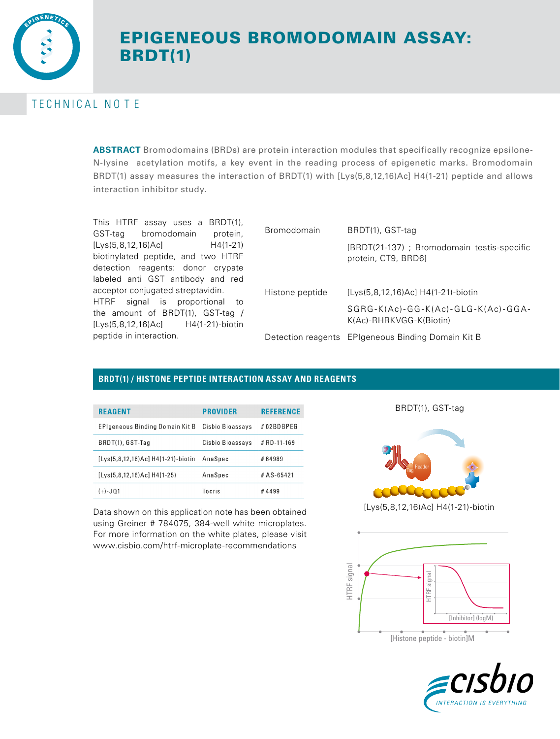

# EPIGENEOUS BROMODOMAIN ASSAY: BRDT(1)

# TECHNICAL NOTE

**ABSTRACT** Bromodomains (BRDs) are protein interaction modules that specifically recognize epsilone-N-lysine acetylation motifs, a key event in the reading process of epigenetic marks. Bromodomain BRDT(1) assay measures the interaction of BRDT(1) with [Lys(5,8,12,16)Ac] H4(1-21) peptide and allows interaction inhibitor study.

This HTRF assay uses a BRDT(1), GST-tag bromodomain protein, [Lys(5,8,12,16)Ac] H4(1-21) biotinylated peptide, and two HTRF detection reagents: donor crypate labeled anti GST antibody and red acceptor conjugated streptavidin. HTRF signal is proportional to the amount of BRDT(1), GST-tag / [Lys(5,8,12,16)Ac] H4(1-21)-biotin peptide in interaction.

| <b>Bromodomain</b> | BRDT(1), GST-tag                                                  |
|--------------------|-------------------------------------------------------------------|
|                    | [BRDT(21-137); Bromodomain testis-specific<br>protein, CT9, BRD6] |
| Histone peptide    | [Lys(5,8,12,16)Ac] H4(1-21)-biotin                                |
|                    | SGRG-K(Ac)-GG-K(Ac)-GLG-K(Ac)-GGA-<br>K(Ac)-RHRKVGG-K(Biotin)     |
|                    | Detection reagents EPIgeneous Binding Domain Kit B                |

## **BRDT(1) / HISTONE PEPTIDE INTERACTION ASSAY AND REAGENTS**

| <b>REAGENT</b>                     | <b>PROVIDER</b>  | <b>REFERENCE</b> |
|------------------------------------|------------------|------------------|
| EPIgeneous Binding Domain Kit B    | Cisbio Bioassavs | #62BDBPEG        |
| BRDT(1), GST-Tag                   | Cisbio Bioassays | # RD-11-169      |
| [Lys(5,8,12,16)Ac] H4(1-21)-biotin | AnaSpec          | #64989           |
| $[Lys(5,8,12,16)Ac]H4(1-25)$       | AnaSpec          | $#AS - 65421$    |
| $(+) - JQ1$                        | Tocris           | #4499            |

Data shown on this application note has been obtained using Greiner # 784075, 384-well white microplates. For more information on the white plates, please visit www.cisbio.com/htrf-microplate-recommendations

BRDT(1), GST-tag



[Lys(5,8,12,16)Ac] H4(1-21)-biotin



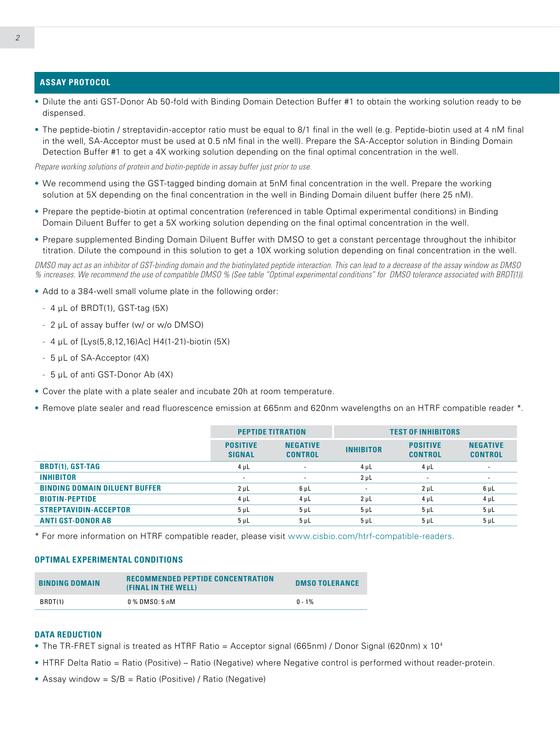#### **ASSAY PROTOCOL**

- Dilute the anti GST-Donor Ab 50-fold with Binding Domain Detection Buffer #1 to obtain the working solution ready to be dispensed.
- The peptide-biotin / streptavidin-acceptor ratio must be equal to 8/1 final in the well (e.g. Peptide-biotin used at 4 nM final in the well, SA-Acceptor must be used at 0.5 nM final in the well). Prepare the SA-Acceptor solution in Binding Domain Detection Buffer #1 to get a 4X working solution depending on the final optimal concentration in the well.

*Prepare working solutions of protein and biotin-peptide in assay buffer just prior to use.*

- We recommend using the GST-tagged binding domain at 5nM final concentration in the well. Prepare the working solution at 5X depending on the final concentration in the well in Binding Domain diluent buffer (here 25 nM).
- Prepare the peptide-biotin at optimal concentration (referenced in table Optimal experimental conditions) in Binding Domain Diluent Buffer to get a 5X working solution depending on the final optimal concentration in the well.
- Prepare supplemented Binding Domain Diluent Buffer with DMSO to get a constant percentage throughout the inhibitor titration. Dilute the compound in this solution to get a 10X working solution depending on final concentration in the well.

*DMSO may act as an inhibitor of GST-binding domain and the biotinylated peptide interaction. This can lead to a decrease of the assay window as DMSO % increases. We recommend the use of compatible DMSO % (See table "Optimal experimental conditions" for DMSO tolerance associated with BRDT(1)).*

- Add to a 384-well small volume plate in the following order:
	- 4 μL of BRDT(1), GST-tag (5X)
	- 2 μL of assay buffer (w/ or w/o DMSO)
	- 4 μL of [Lys(5,8,12,16)Ac] H4(1-21)-biotin (5X)
	- 5 μL of SA-Acceptor (4X)
	- 5 μL of anti GST-Donor Ab (4X)
- Cover the plate with a plate sealer and incubate 20h at room temperature.
- Remove plate sealer and read fluorescence emission at 665nm and 620nm wavelengths on an HTRF compatible reader \*.

|                                      | <b>PEPTIDE TITRATION</b>         |                                   | <b>TEST OF INHIBITORS</b> |                                   |                                   |
|--------------------------------------|----------------------------------|-----------------------------------|---------------------------|-----------------------------------|-----------------------------------|
|                                      | <b>POSITIVE</b><br><b>SIGNAL</b> | <b>NEGATIVE</b><br><b>CONTROL</b> | <b>INHIBITOR</b>          | <b>POSITIVE</b><br><b>CONTROL</b> | <b>NEGATIVE</b><br><b>CONTROL</b> |
| <b>BRDT(1), GST-TAG</b>              | $4 \mu L$                        | $\sim$                            | $4 \mu L$                 | $4 \mu L$                         | $\overline{\phantom{a}}$          |
| <b>INHIBITOR</b>                     | $\sim$                           | ۰                                 | $2 \mu L$                 | $\overline{\phantom{a}}$          | ۰                                 |
| <b>BINDING DOMAIN DILUENT BUFFER</b> | $2 \mu L$                        | $6 \mu L$                         | $\overline{\phantom{a}}$  | 2 <sub>µ</sub>                    | $6 \mu L$                         |
| <b>BIOTIN-PEPTIDE</b>                | $4 \mu L$                        | $4 \mu L$                         | $2 \mu L$                 | $4 \mu L$                         | $4 \mu L$                         |
| <b>STREPTAVIDIN-ACCEPTOR</b>         | $5 \mu L$                        | $5 \mu L$                         | 5 <sub>µ</sub>            | 5 <sub>µ</sub>                    | $5 \mu L$                         |
| <b>ANTI GST-DONOR AB</b>             | $5 \mu L$                        | $5 \mu L$                         | 5 <sub>µ</sub>            | 5 <sub>µ</sub>                    | 5 <sub>µ</sub>                    |

\* For more information on HTRF compatible reader, please visit www.cisbio.com/htrf-compatible-readers.

#### **OPTIMAL EXPERIMENTAL CONDITIONS**

| <b>BINDING DOMAIN</b> | <b>RECOMMENDED PEPTIDE CONCENTRATION</b><br>(FINAL IN THE WELL) | <b>DMSO TOLERANCE</b> |
|-----------------------|-----------------------------------------------------------------|-----------------------|
| BRDT(1)               | 0 % DMS0: 5 nM                                                  | $0 - 1\%$             |

#### **DATA REDUCTION**

- The TR-FRET signal is treated as HTRF Ratio = Acceptor signal (665nm) / Donor Signal (620nm)  $\times$  10<sup>4</sup>
- HTRF Delta Ratio = Ratio (Positive) Ratio (Negative) where Negative control is performed without reader-protein.
- Assay window = S/B = Ratio (Positive) / Ratio (Negative)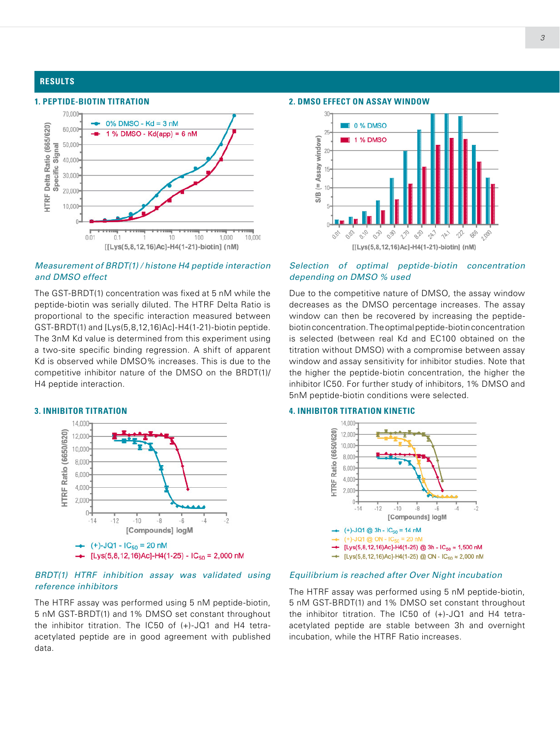#### **RESULTS**

#### **1. PEPTIDE-BIOTIN TITRATION** 70,000  $0\%$  DMSO - Kd = 3 nM HTRF Delta Ratio (665/620) 60,000 1 % DMSO -  $Kd(app) = 6$  nM 50,000 Signal 40,000 Specific 30.000 20,000 10,000  $0.01$ 100 1,000 10,000  $0.1$ 10 [[Lys(5,8,12,16)Ac]-H4(1-21)-biotin] (nM)

#### *Measurement of BRDT(1) / histone H4 peptide interaction and DMSO effect*

The GST-BRDT(1) concentration was fixed at 5 nM while the peptide-biotin was serially diluted. The HTRF Delta Ratio is proportional to the specific interaction measured between GST-BRDT(1) and [Lys(5,8,12,16)Ac]-H4(1-21)-biotin peptide. The 3nM Kd value is determined from this experiment using a two-site specific binding regression. A shift of apparent Kd is observed while DMSO% increases. This is due to the competitive inhibitor nature of the DMSO on the BRDT(1)/ H4 peptide interaction.

#### **3. INHIBITOR TITRATION**



#### *BRDT(1) HTRF inhibition assay was validated using reference inhibitors*

The HTRF assay was performed using 5 nM peptide-biotin, 5 nM GST-BRDT(1) and 1% DMSO set constant throughout the inhibitor titration. The IC50 of (+)-JQ1 and H4 tetraacetylated peptide are in good agreement with published data.

#### **2. DMSO EFFECT ON ASSAY WINDOW**



#### *Selection of optimal peptide-biotin concentration depending on DMSO % used*

Due to the competitive nature of DMSO, the assay window decreases as the DMSO percentage increases. The assay window can then be recovered by increasing the peptidebiotin concentration. The optimal peptide-biotin concentration is selected (between real Kd and EC100 obtained on the titration without DMSO) with a compromise between assay window and assay sensitivity for inhibitor studies. Note that the higher the peptide-biotin concentration, the higher the inhibitor IC50. For further study of inhibitors, 1% DMSO and 5nM peptide-biotin conditions were selected.

#### **4. INHIBITOR TITRATION KINETIC**



#### *Equilibrium is reached after Over Night incubation*

The HTRF assay was performed using 5 nM peptide-biotin, 5 nM GST-BRDT(1) and 1% DMSO set constant throughout the inhibitor titration. The IC50 of (+)-JQ1 and H4 tetraacetylated peptide are stable between 3h and overnight incubation, while the HTRF Ratio increases.